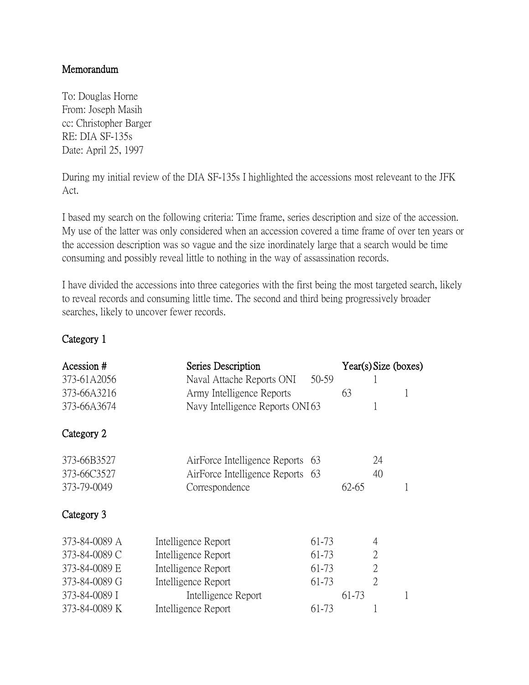## Memorandum

To: Douglas Horne From: Joseph Masih cc: Christopher Barger RE: DIA SF-135s Date: April 25, 1997

During my initial review of the DIA SF-135s I highlighted the accessions most releveant to the JFK Act.

I based my search on the following criteria: Time frame, series description and size of the accession. My use of the latter was only considered when an accession covered a time frame of over ten years or the accession description was so vague and the size inordinately large that a search would be time consuming and possibly reveal little to nothing in the way of assassination records.

I have divided the accessions into three categories with the first being the most targeted search, likely to reveal records and consuming little time. The second and third being progressively broader searches, likely to uncover fewer records.

## Category 1

| Acession #<br>373-61A2056 | Series Description<br>Naval Attache Reports ONI | 50-59 |       | Year(s) Size (boxes) |  |
|---------------------------|-------------------------------------------------|-------|-------|----------------------|--|
| 373-66A3216               | Army Intelligence Reports                       |       | 63    |                      |  |
| 373-66A3674               | Navy Intelligence Reports ONI63                 |       |       | 1                    |  |
| Category 2                |                                                 |       |       |                      |  |
| 373-66B3527               | AirForce Intelligence Reports 63                |       |       | 24                   |  |
| 373-66C3527               | AirForce Intelligence Reports 63                |       |       | 40                   |  |
| 373-79-0049               | Correspondence                                  |       | 62-65 |                      |  |
| Category 3                |                                                 |       |       |                      |  |
| 373-84-0089 A             | Intelligence Report                             | 61-73 |       | 4                    |  |
| 373-84-0089 C             | Intelligence Report                             | 61-73 |       | $\overline{2}$       |  |
| 373-84-0089 E             | Intelligence Report                             | 61-73 |       | $\overline{2}$       |  |
| 373-84-0089 G             | Intelligence Report                             | 61-73 |       | $\overline{2}$       |  |
| 373-84-0089 I             | Intelligence Report                             |       | 61-73 |                      |  |
| 373-84-0089 K             | Intelligence Report                             | 61-73 |       |                      |  |